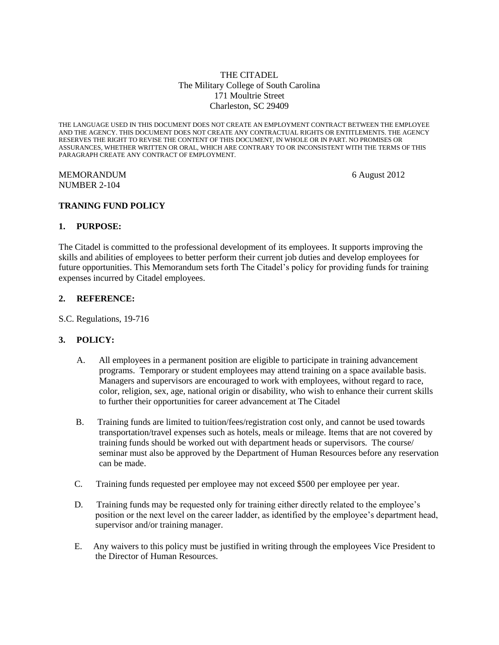## THE CITADEL The Military College of South Carolina 171 Moultrie Street Charleston, SC 29409

THE LANGUAGE USED IN THIS DOCUMENT DOES NOT CREATE AN EMPLOYMENT CONTRACT BETWEEN THE EMPLOYEE AND THE AGENCY. THIS DOCUMENT DOES NOT CREATE ANY CONTRACTUAL RIGHTS OR ENTITLEMENTS. THE AGENCY RESERVES THE RIGHT TO REVISE THE CONTENT OF THIS DOCUMENT, IN WHOLE OR IN PART. NO PROMISES OR ASSURANCES, WHETHER WRITTEN OR ORAL, WHICH ARE CONTRARY TO OR INCONSISTENT WITH THE TERMS OF THIS PARAGRAPH CREATE ANY CONTRACT OF EMPLOYMENT.

MEMORANDUM 6 August 2012 NUMBER 2-104

# **TRANING FUND POLICY**

## **1. PURPOSE:**

The Citadel is committed to the professional development of its employees. It supports improving the skills and abilities of employees to better perform their current job duties and develop employees for future opportunities. This Memorandum sets forth The Citadel's policy for providing funds for training expenses incurred by Citadel employees.

### **2. REFERENCE:**

S.C. Regulations, 19-716

## **3. POLICY:**

- A. All employees in a permanent position are eligible to participate in training advancement programs. Temporary or student employees may attend training on a space available basis. Managers and supervisors are encouraged to work with employees, without regard to race, color, religion, sex, age, national origin or disability, who wish to enhance their current skills to further their opportunities for career advancement at The Citadel
- B. Training funds are limited to tuition/fees/registration cost only, and cannot be used towards transportation/travel expenses such as hotels, meals or mileage. Items that are not covered by training funds should be worked out with department heads or supervisors. The course/ seminar must also be approved by the Department of Human Resources before any reservation can be made.
- C. Training funds requested per employee may not exceed \$500 per employee per year.
- D. Training funds may be requested only for training either directly related to the employee's position or the next level on the career ladder, as identified by the employee's department head, supervisor and/or training manager.
- E. Any waivers to this policy must be justified in writing through the employees Vice President to the Director of Human Resources.